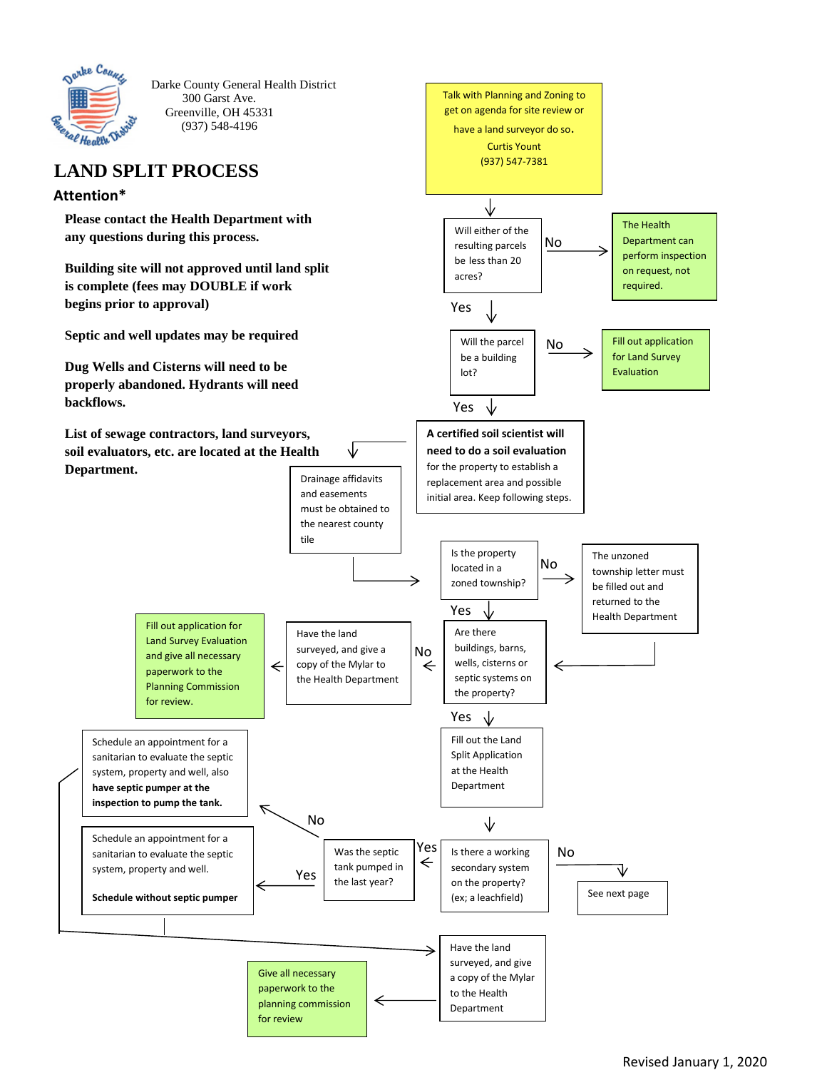

Darke County General Health District 300 Garst Ave. Greenville, OH 45331 (937) 548-4196

# **LAND SPLIT PROCESS**

#### **Attention\***

**Please contact the Health Department with any questions during this process.**

**Building site will not approved until land split is complete (fees may DOUBLE if work begins prior to approval)**

**Septic and well updates may be required** 

**Dug Wells and Cisterns will need to be properly abandoned. Hydrants will need backflows.**

**List of sewage contractors, land surveyors, soil evaluators, etc. are located at the Health Department.**



to the Health Department

paperwork to the planning commission

←

for review

Revised January 1, 2020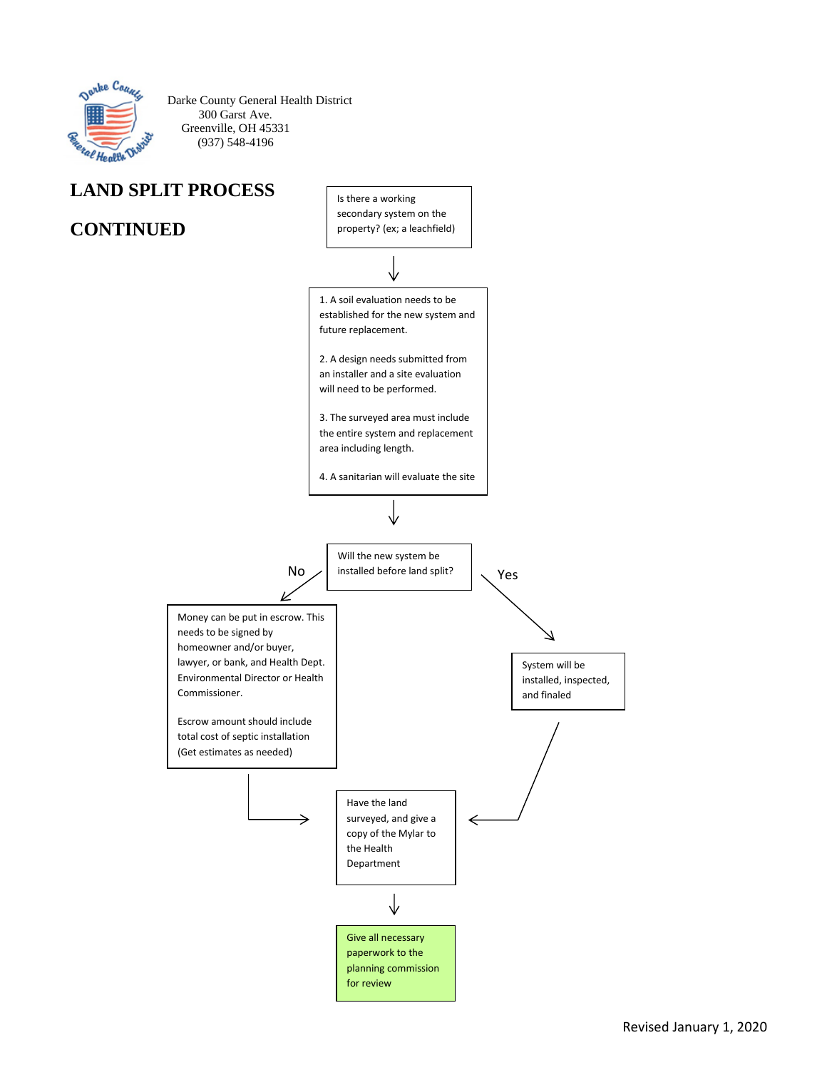

Darke County General Health District 300 Garst Ave. Greenville, OH 45331 (937) 548-4196

## **LAND SPLIT PROCESS**

## **CONTINUED**

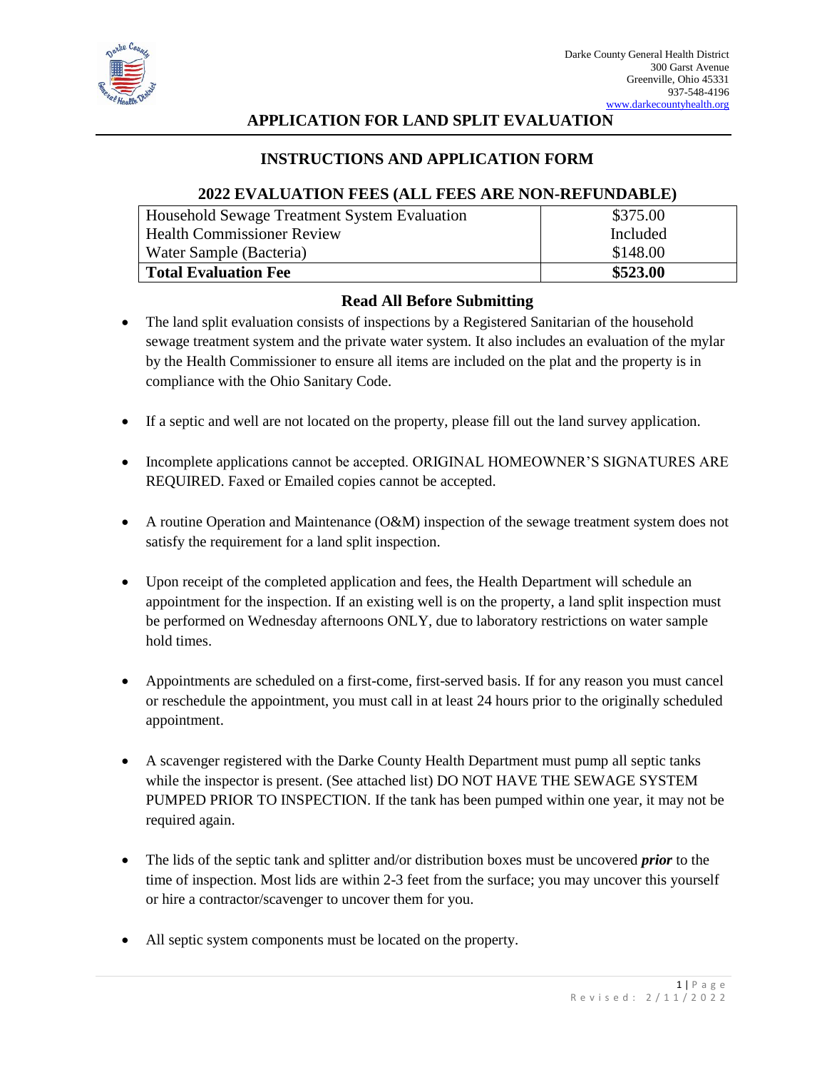

### **APPLICATION FOR LAND SPLIT EVALUATION**

#### **INSTRUCTIONS AND APPLICATION FORM**

#### **2022 EVALUATION FEES (ALL FEES ARE NON-REFUNDABLE)**

| Household Sewage Treatment System Evaluation | \$375.00 |
|----------------------------------------------|----------|
| <b>Health Commissioner Review</b>            | Included |
| Water Sample (Bacteria)                      | \$148.00 |
| <b>Total Evaluation Fee</b>                  | \$523.00 |

#### **Read All Before Submitting**

- The land split evaluation consists of inspections by a Registered Sanitarian of the household sewage treatment system and the private water system. It also includes an evaluation of the mylar by the Health Commissioner to ensure all items are included on the plat and the property is in compliance with the Ohio Sanitary Code.
- If a septic and well are not located on the property, please fill out the land survey application.
- Incomplete applications cannot be accepted. ORIGINAL HOMEOWNER'S SIGNATURES ARE REQUIRED. Faxed or Emailed copies cannot be accepted.
- A routine Operation and Maintenance (O&M) inspection of the sewage treatment system does not satisfy the requirement for a land split inspection.
- Upon receipt of the completed application and fees, the Health Department will schedule an appointment for the inspection. If an existing well is on the property, a land split inspection must be performed on Wednesday afternoons ONLY, due to laboratory restrictions on water sample hold times.
- Appointments are scheduled on a first-come, first-served basis. If for any reason you must cancel or reschedule the appointment, you must call in at least 24 hours prior to the originally scheduled appointment.
- A scavenger registered with the Darke County Health Department must pump all septic tanks while the inspector is present. (See attached list) DO NOT HAVE THE SEWAGE SYSTEM PUMPED PRIOR TO INSPECTION. If the tank has been pumped within one year, it may not be required again.
- The lids of the septic tank and splitter and/or distribution boxes must be uncovered *prior* to the time of inspection. Most lids are within 2-3 feet from the surface; you may uncover this yourself or hire a contractor/scavenger to uncover them for you.
- All septic system components must be located on the property.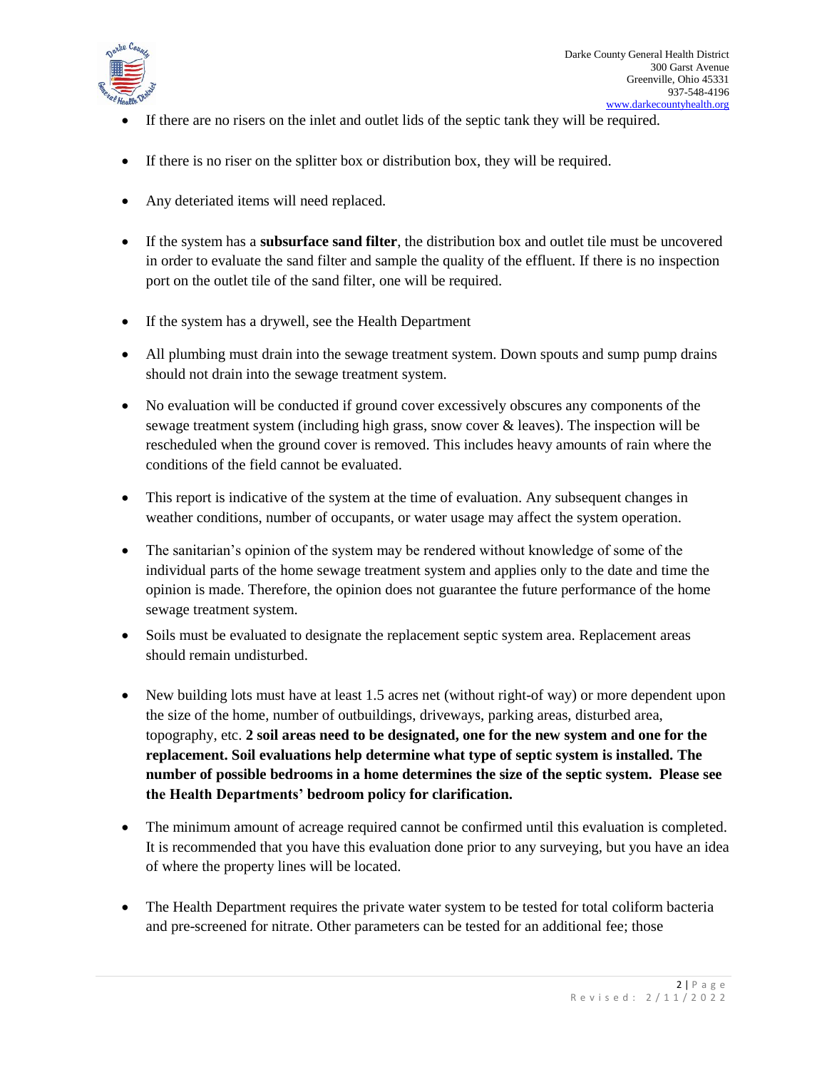

- If there are no risers on the inlet and outlet lids of the septic tank they will be required.
- If there is no riser on the splitter box or distribution box, they will be required.
- Any deteriated items will need replaced.
- If the system has a **subsurface sand filter**, the distribution box and outlet tile must be uncovered in order to evaluate the sand filter and sample the quality of the effluent. If there is no inspection port on the outlet tile of the sand filter, one will be required.
- If the system has a drywell, see the Health Department
- All plumbing must drain into the sewage treatment system. Down spouts and sump pump drains should not drain into the sewage treatment system.
- No evaluation will be conducted if ground cover excessively obscures any components of the sewage treatment system (including high grass, snow cover & leaves). The inspection will be rescheduled when the ground cover is removed. This includes heavy amounts of rain where the conditions of the field cannot be evaluated.
- This report is indicative of the system at the time of evaluation. Any subsequent changes in weather conditions, number of occupants, or water usage may affect the system operation.
- The sanitarian's opinion of the system may be rendered without knowledge of some of the individual parts of the home sewage treatment system and applies only to the date and time the opinion is made. Therefore, the opinion does not guarantee the future performance of the home sewage treatment system.
- Soils must be evaluated to designate the replacement septic system area. Replacement areas should remain undisturbed.
- New building lots must have at least 1.5 acres net (without right-of way) or more dependent upon the size of the home, number of outbuildings, driveways, parking areas, disturbed area, topography, etc. **2 soil areas need to be designated, one for the new system and one for the replacement. Soil evaluations help determine what type of septic system is installed. The number of possible bedrooms in a home determines the size of the septic system. Please see the Health Departments' bedroom policy for clarification.**
- The minimum amount of acreage required cannot be confirmed until this evaluation is completed. It is recommended that you have this evaluation done prior to any surveying, but you have an idea of where the property lines will be located.
- The Health Department requires the private water system to be tested for total coliform bacteria and pre-screened for nitrate. Other parameters can be tested for an additional fee; those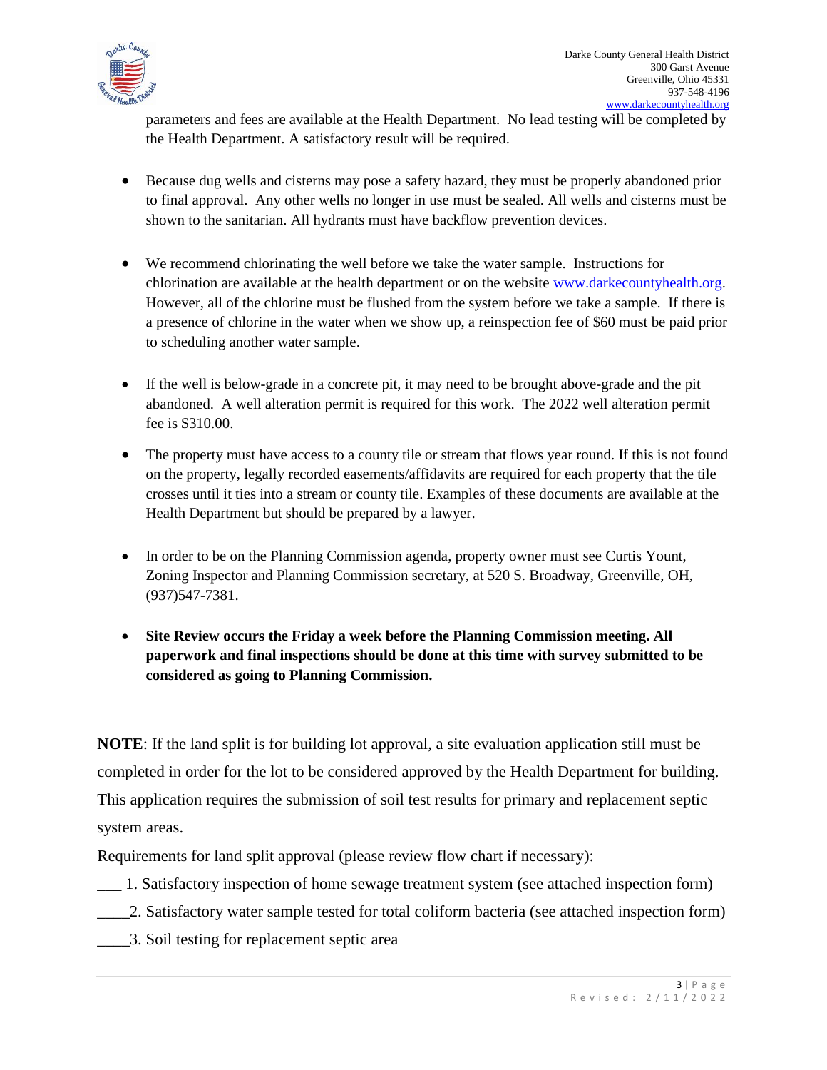

parameters and fees are available at the Health Department. No lead testing will be completed by the Health Department. A satisfactory result will be required.

- Because dug wells and cisterns may pose a safety hazard, they must be properly abandoned prior to final approval. Any other wells no longer in use must be sealed. All wells and cisterns must be shown to the sanitarian. All hydrants must have backflow prevention devices.
- We recommend chlorinating the well before we take the water sample. Instructions for chlorination are available at the health department or on the website [www.darkecountyhealth.org.](http://www.darkecountyhealth.org/) However, all of the chlorine must be flushed from the system before we take a sample. If there is a presence of chlorine in the water when we show up, a reinspection fee of \$60 must be paid prior to scheduling another water sample.
- If the well is below-grade in a concrete pit, it may need to be brought above-grade and the pit abandoned. A well alteration permit is required for this work. The 2022 well alteration permit fee is \$310.00.
- The property must have access to a county tile or stream that flows year round. If this is not found on the property, legally recorded easements/affidavits are required for each property that the tile crosses until it ties into a stream or county tile. Examples of these documents are available at the Health Department but should be prepared by a lawyer.
- In order to be on the Planning Commission agenda, property owner must see Curtis Yount, Zoning Inspector and Planning Commission secretary, at 520 S. Broadway, Greenville, OH, (937)547-7381.
- **Site Review occurs the Friday a week before the Planning Commission meeting. All paperwork and final inspections should be done at this time with survey submitted to be considered as going to Planning Commission.**

**NOTE**: If the land split is for building lot approval, a site evaluation application still must be completed in order for the lot to be considered approved by the Health Department for building. This application requires the submission of soil test results for primary and replacement septic system areas.

Requirements for land split approval (please review flow chart if necessary):

- \_\_\_ 1. Satisfactory inspection of home sewage treatment system (see attached inspection form)
- \_\_\_\_2. Satisfactory water sample tested for total coliform bacteria (see attached inspection form)
- \_\_\_\_3. Soil testing for replacement septic area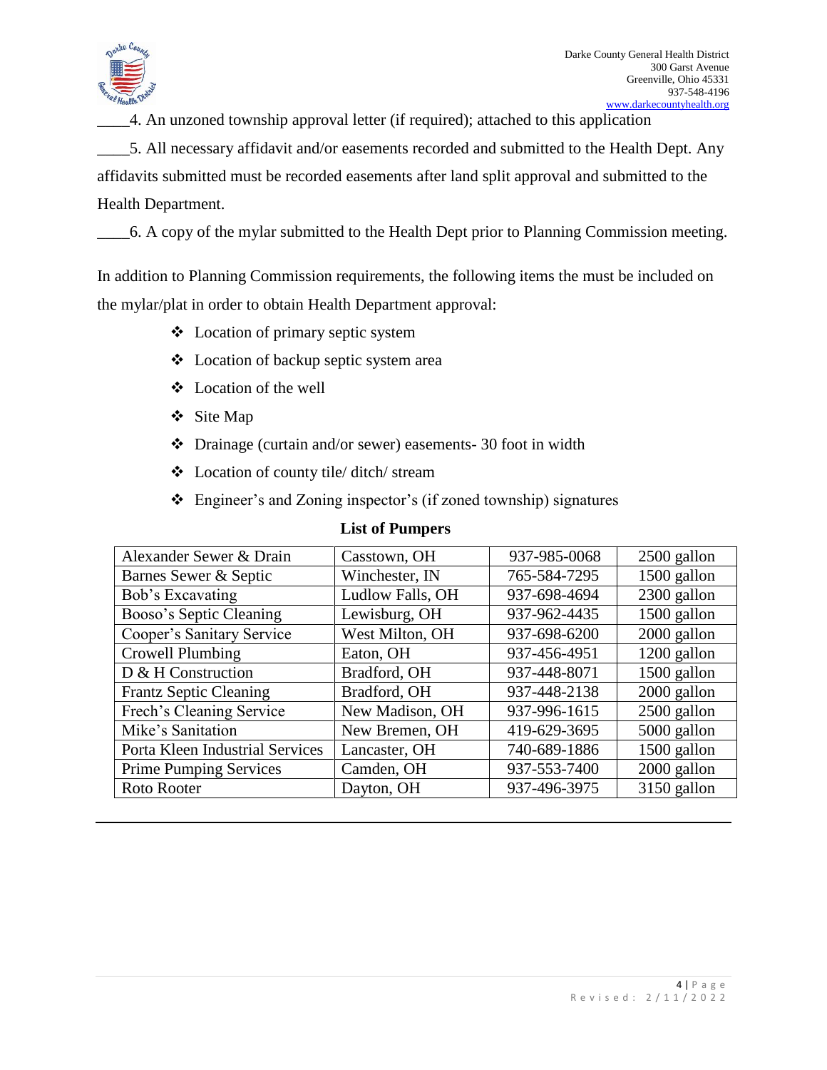

\_\_\_\_4. An unzoned township approval letter (if required); attached to this application

\_\_\_\_5. All necessary affidavit and/or easements recorded and submitted to the Health Dept. Any affidavits submitted must be recorded easements after land split approval and submitted to the Health Department.

\_\_\_\_6. A copy of the mylar submitted to the Health Dept prior to Planning Commission meeting.

In addition to Planning Commission requirements, the following items the must be included on the mylar/plat in order to obtain Health Department approval:

- Location of primary septic system
- Location of backup septic system area
- Location of the well
- Site Map
- Drainage (curtain and/or sewer) easements- 30 foot in width
- Location of county tile/ ditch/ stream
- Engineer's and Zoning inspector's (if zoned township) signatures

| Alexander Sewer & Drain         | Casstown, OH     | 937-985-0068 | $2500$ gallon |
|---------------------------------|------------------|--------------|---------------|
| Barnes Sewer & Septic           | Winchester, IN   | 765-584-7295 | 1500 gallon   |
| Bob's Excavating                | Ludlow Falls, OH | 937-698-4694 | 2300 gallon   |
| Booso's Septic Cleaning         | Lewisburg, OH    | 937-962-4435 | 1500 gallon   |
| Cooper's Sanitary Service       | West Milton, OH  | 937-698-6200 | 2000 gallon   |
| Crowell Plumbing                | Eaton, OH        | 937-456-4951 | 1200 gallon   |
| D & H Construction              | Bradford, OH     | 937-448-8071 | 1500 gallon   |
| <b>Frantz Septic Cleaning</b>   | Bradford, OH     | 937-448-2138 | 2000 gallon   |
| Frech's Cleaning Service        | New Madison, OH  | 937-996-1615 | $2500$ gallon |
| Mike's Sanitation               | New Bremen, OH   | 419-629-3695 | 5000 gallon   |
| Porta Kleen Industrial Services | Lancaster, OH    | 740-689-1886 | 1500 gallon   |
| <b>Prime Pumping Services</b>   | Camden, OH       | 937-553-7400 | 2000 gallon   |
| Roto Rooter                     | Dayton, OH       | 937-496-3975 | 3150 gallon   |

### **List of Pumpers**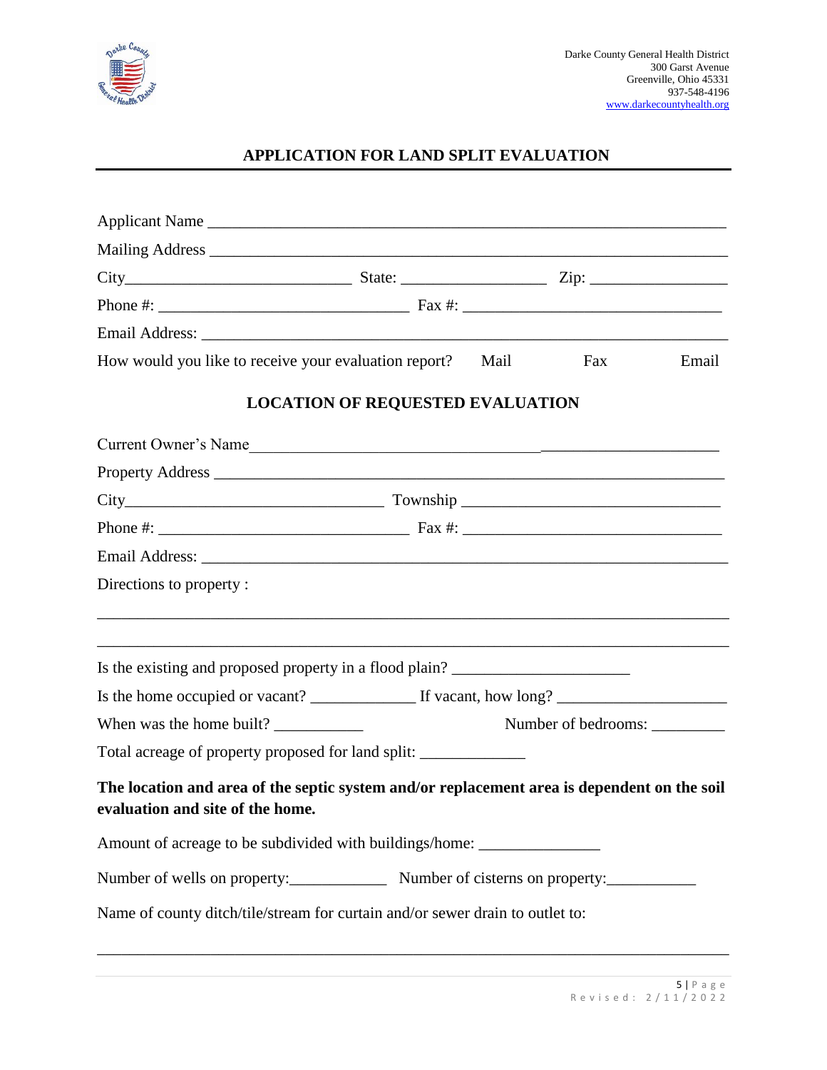

## **APPLICATION FOR LAND SPLIT EVALUATION**

| Applicant Name                                                                                                                  |                                                            |      |     |       |
|---------------------------------------------------------------------------------------------------------------------------------|------------------------------------------------------------|------|-----|-------|
|                                                                                                                                 |                                                            |      |     |       |
|                                                                                                                                 |                                                            |      |     |       |
|                                                                                                                                 |                                                            |      |     |       |
|                                                                                                                                 |                                                            |      |     |       |
| How would you like to receive your evaluation report?                                                                           |                                                            | Mail | Fax | Email |
|                                                                                                                                 | <b>LOCATION OF REQUESTED EVALUATION</b>                    |      |     |       |
| Current Owner's Name                                                                                                            |                                                            |      |     |       |
|                                                                                                                                 |                                                            |      |     |       |
|                                                                                                                                 |                                                            |      |     |       |
|                                                                                                                                 |                                                            |      |     |       |
|                                                                                                                                 |                                                            |      |     |       |
| Directions to property:                                                                                                         |                                                            |      |     |       |
|                                                                                                                                 |                                                            |      |     |       |
| Is the existing and proposed property in a flood plain?                                                                         |                                                            |      |     |       |
|                                                                                                                                 |                                                            |      |     |       |
|                                                                                                                                 | When was the home built?<br>Number of bedrooms: __________ |      |     |       |
| Total acreage of property proposed for land split: ______________________________                                               |                                                            |      |     |       |
| The location and area of the septic system and/or replacement area is dependent on the soil<br>evaluation and site of the home. |                                                            |      |     |       |
| Amount of acreage to be subdivided with buildings/home: _________________________                                               |                                                            |      |     |       |
|                                                                                                                                 |                                                            |      |     |       |
| Name of county ditch/tile/stream for curtain and/or sewer drain to outlet to:                                                   |                                                            |      |     |       |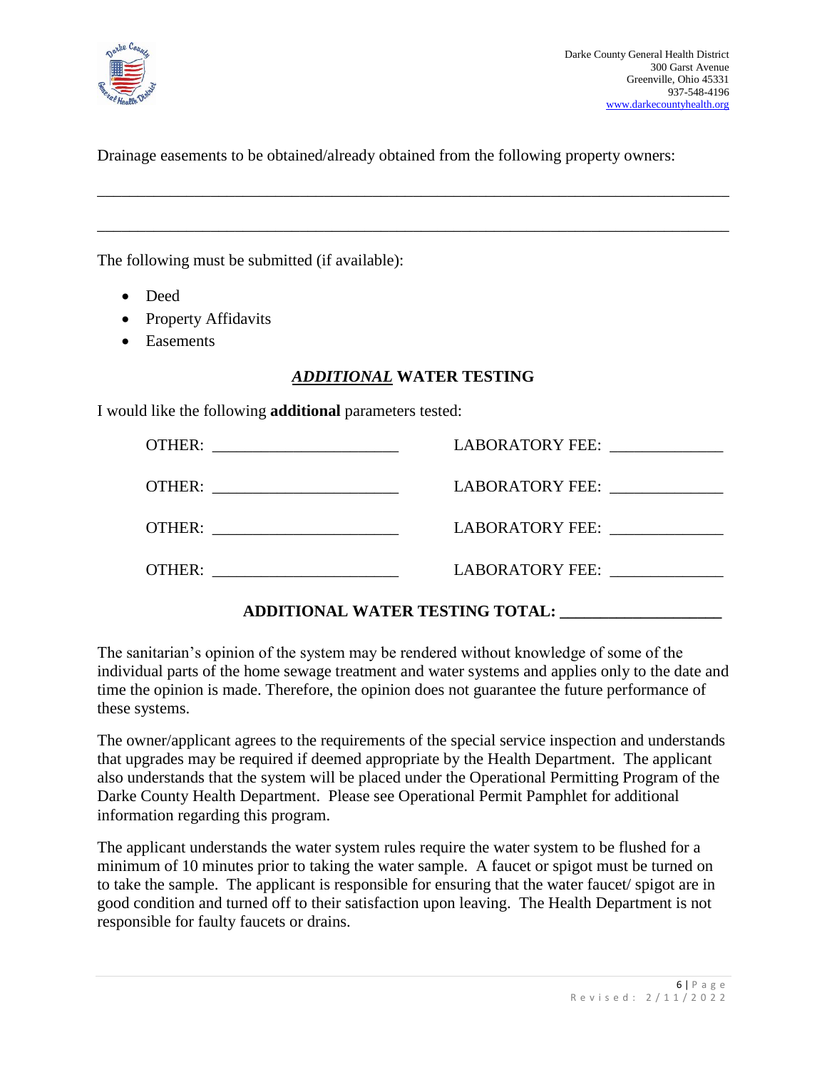

Drainage easements to be obtained/already obtained from the following property owners:

\_\_\_\_\_\_\_\_\_\_\_\_\_\_\_\_\_\_\_\_\_\_\_\_\_\_\_\_\_\_\_\_\_\_\_\_\_\_\_\_\_\_\_\_\_\_\_\_\_\_\_\_\_\_\_\_\_\_\_\_\_\_\_\_\_\_\_\_\_\_\_\_\_\_\_\_\_\_

\_\_\_\_\_\_\_\_\_\_\_\_\_\_\_\_\_\_\_\_\_\_\_\_\_\_\_\_\_\_\_\_\_\_\_\_\_\_\_\_\_\_\_\_\_\_\_\_\_\_\_\_\_\_\_\_\_\_\_\_\_\_\_\_\_\_\_\_\_\_\_\_\_\_\_\_\_\_

The following must be submitted (if available):

- Deed
- Property Affidavits
- Easements

#### *ADDITIONAL* **WATER TESTING**

I would like the following **additional** parameters tested:

|                                  | LABORATORY FEE:        |
|----------------------------------|------------------------|
| OTHER: _________________________ | LABORATORY FEE:        |
|                                  | LABORATORY FEE:        |
| OTHER:                           | <b>LABORATORY FEE:</b> |

### **ADDITIONAL WATER TESTING TOTAL: \_\_\_\_\_\_\_\_\_\_\_\_\_\_\_\_\_\_\_\_**

The sanitarian's opinion of the system may be rendered without knowledge of some of the individual parts of the home sewage treatment and water systems and applies only to the date and time the opinion is made. Therefore, the opinion does not guarantee the future performance of these systems.

The owner/applicant agrees to the requirements of the special service inspection and understands that upgrades may be required if deemed appropriate by the Health Department. The applicant also understands that the system will be placed under the Operational Permitting Program of the Darke County Health Department. Please see Operational Permit Pamphlet for additional information regarding this program.

The applicant understands the water system rules require the water system to be flushed for a minimum of 10 minutes prior to taking the water sample. A faucet or spigot must be turned on to take the sample. The applicant is responsible for ensuring that the water faucet/ spigot are in good condition and turned off to their satisfaction upon leaving. The Health Department is not responsible for faulty faucets or drains.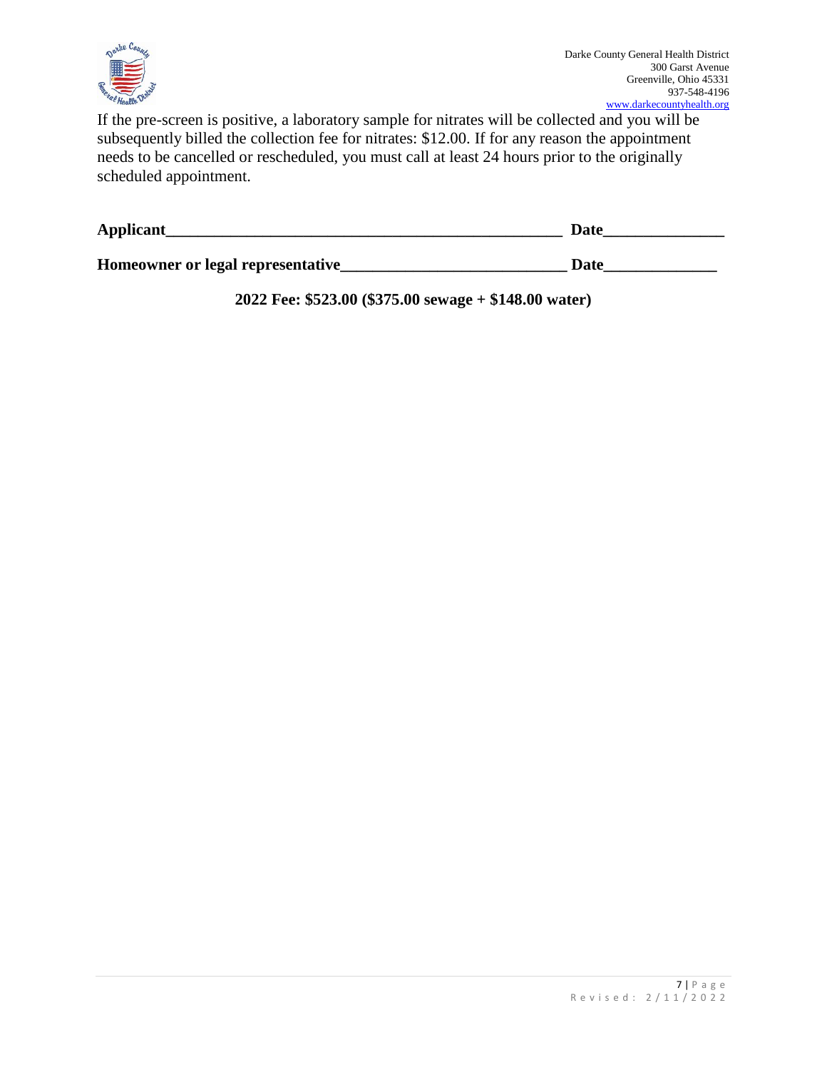

If the pre-screen is positive, a laboratory sample for nitrates will be collected and you will be subsequently billed the collection fee for nitrates: \$12.00. If for any reason the appointment needs to be cancelled or rescheduled, you must call at least 24 hours prior to the originally scheduled appointment.

| Applicant                          | Date |
|------------------------------------|------|
| Homeowner or legal representative_ | Date |

**2022 Fee: \$523.00 (\$375.00 sewage + \$148.00 water)**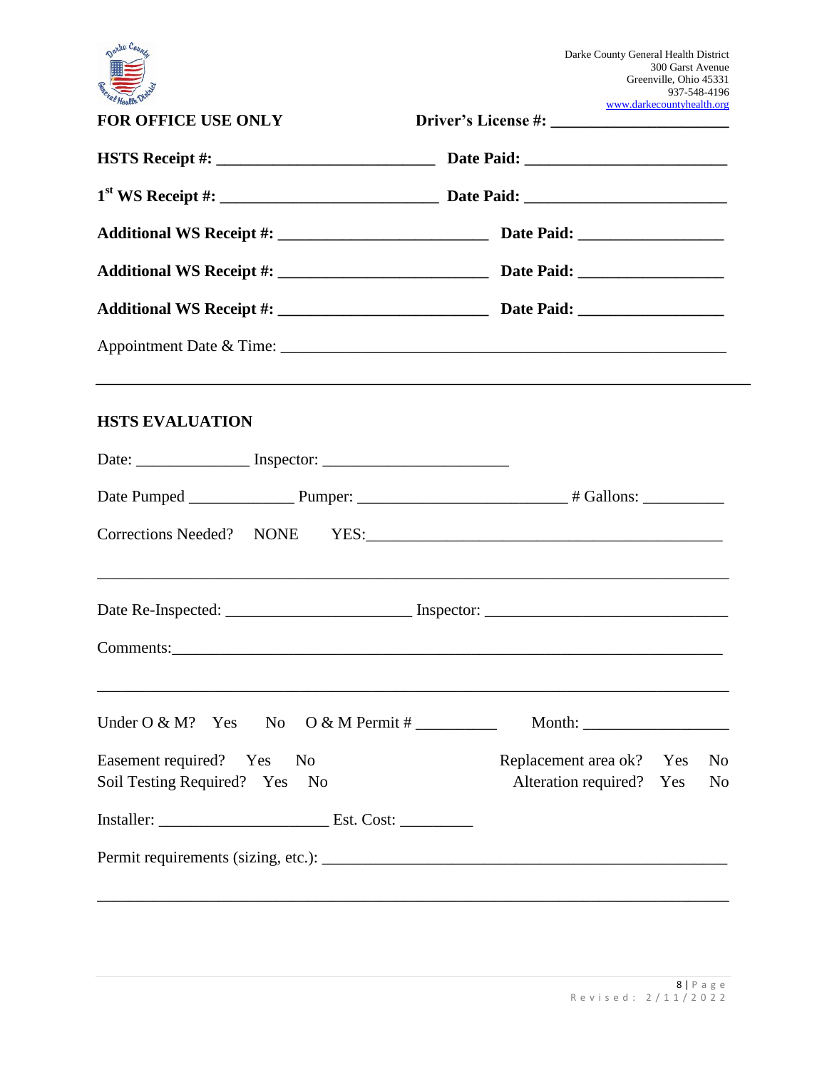| Darke Count                              | Darke County General Health District<br>300 Garst Avenue<br>Greenville, Ohio 45331<br>937-548-4196 |
|------------------------------------------|----------------------------------------------------------------------------------------------------|
| <b>FOR OFFICE USE ONLY</b>               | www.darkecountyhealth.org                                                                          |
|                                          |                                                                                                    |
|                                          |                                                                                                    |
|                                          |                                                                                                    |
|                                          |                                                                                                    |
|                                          |                                                                                                    |
|                                          |                                                                                                    |
| <b>HSTS EVALUATION</b>                   |                                                                                                    |
|                                          |                                                                                                    |
|                                          |                                                                                                    |
|                                          |                                                                                                    |
|                                          |                                                                                                    |
|                                          |                                                                                                    |
| Under $O & M$ ? Yes No                   | Month: $\qquad \qquad$                                                                             |
| Easement required? Yes<br>N <sub>0</sub> | Replacement area ok? Yes<br>N <sub>0</sub>                                                         |
| Soil Testing Required? Yes No            | Alteration required? Yes<br>N <sub>o</sub>                                                         |
|                                          |                                                                                                    |
|                                          |                                                                                                    |